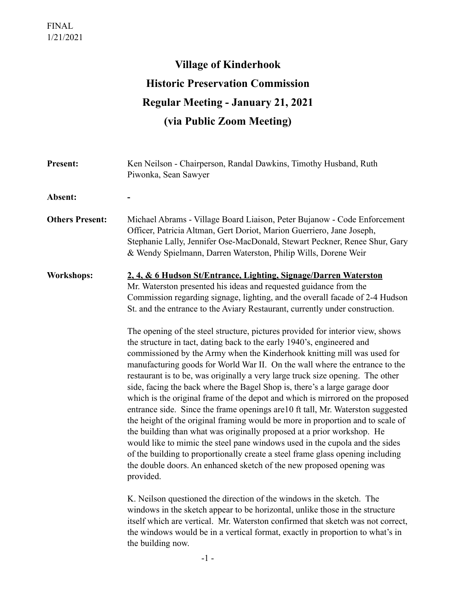## **Village of Kinderhook Historic Preservation Commission Regular Meeting - January 21, 2021 (via Public Zoom Meeting)**

| <b>Present:</b>        | Ken Neilson - Chairperson, Randal Dawkins, Timothy Husband, Ruth<br>Piwonka, Sean Sawyer                                                                                                                                                                                                                                                                                                                                                                                                                                                                                                                                                                                                                                                                                                                                                                                                                                                                                                                                                                                                                                                                                                                                                                                                                                                                                                                                                                                                                                                                                                                                                                                                                        |
|------------------------|-----------------------------------------------------------------------------------------------------------------------------------------------------------------------------------------------------------------------------------------------------------------------------------------------------------------------------------------------------------------------------------------------------------------------------------------------------------------------------------------------------------------------------------------------------------------------------------------------------------------------------------------------------------------------------------------------------------------------------------------------------------------------------------------------------------------------------------------------------------------------------------------------------------------------------------------------------------------------------------------------------------------------------------------------------------------------------------------------------------------------------------------------------------------------------------------------------------------------------------------------------------------------------------------------------------------------------------------------------------------------------------------------------------------------------------------------------------------------------------------------------------------------------------------------------------------------------------------------------------------------------------------------------------------------------------------------------------------|
| Absent:                |                                                                                                                                                                                                                                                                                                                                                                                                                                                                                                                                                                                                                                                                                                                                                                                                                                                                                                                                                                                                                                                                                                                                                                                                                                                                                                                                                                                                                                                                                                                                                                                                                                                                                                                 |
| <b>Others Present:</b> | Michael Abrams - Village Board Liaison, Peter Bujanow - Code Enforcement<br>Officer, Patricia Altman, Gert Doriot, Marion Guerriero, Jane Joseph,<br>Stephanie Lally, Jennifer Ose-MacDonald, Stewart Peckner, Renee Shur, Gary<br>& Wendy Spielmann, Darren Waterston, Philip Wills, Dorene Weir                                                                                                                                                                                                                                                                                                                                                                                                                                                                                                                                                                                                                                                                                                                                                                                                                                                                                                                                                                                                                                                                                                                                                                                                                                                                                                                                                                                                               |
| <b>Workshops:</b>      | 2, 4, & 6 Hudson St/Entrance, Lighting, Signage/Darren Waterston<br>Mr. Waterston presented his ideas and requested guidance from the<br>Commission regarding signage, lighting, and the overall facade of 2-4 Hudson<br>St. and the entrance to the Aviary Restaurant, currently under construction.<br>The opening of the steel structure, pictures provided for interior view, shows<br>the structure in tact, dating back to the early 1940's, engineered and<br>commissioned by the Army when the Kinderhook knitting mill was used for<br>manufacturing goods for World War II. On the wall where the entrance to the<br>restaurant is to be, was originally a very large truck size opening. The other<br>side, facing the back where the Bagel Shop is, there's a large garage door<br>which is the original frame of the depot and which is mirrored on the proposed<br>entrance side. Since the frame openings are 10 ft tall, Mr. Waterston suggested<br>the height of the original framing would be more in proportion and to scale of<br>the building than what was originally proposed at a prior workshop. He<br>would like to mimic the steel pane windows used in the cupola and the sides<br>of the building to proportionally create a steel frame glass opening including<br>the double doors. An enhanced sketch of the new proposed opening was<br>provided.<br>K. Neilson questioned the direction of the windows in the sketch. The<br>windows in the sketch appear to be horizontal, unlike those in the structure<br>itself which are vertical. Mr. Waterston confirmed that sketch was not correct,<br>the windows would be in a vertical format, exactly in proportion to what's in |

the building now.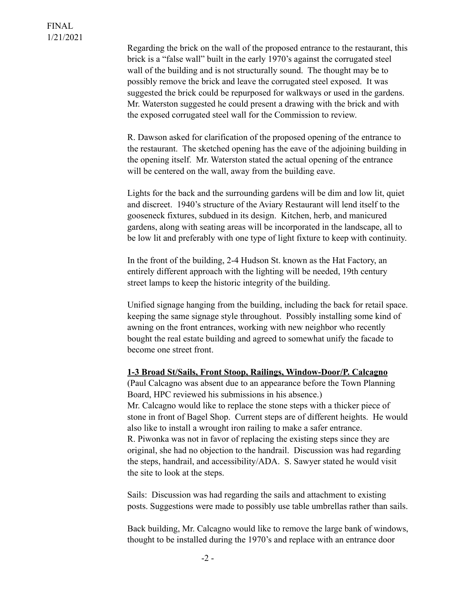Regarding the brick on the wall of the proposed entrance to the restaurant, this brick is a "false wall" built in the early 1970's against the corrugated steel wall of the building and is not structurally sound. The thought may be to possibly remove the brick and leave the corrugated steel exposed. It was suggested the brick could be repurposed for walkways or used in the gardens. Mr. Waterston suggested he could present a drawing with the brick and with the exposed corrugated steel wall for the Commission to review.

 R. Dawson asked for clarification of the proposed opening of the entrance to the restaurant. The sketched opening has the eave of the adjoining building in the opening itself. Mr. Waterston stated the actual opening of the entrance will be centered on the wall, away from the building eave.

 Lights for the back and the surrounding gardens will be dim and low lit, quiet and discreet. 1940's structure of the Aviary Restaurant will lend itself to the gooseneck fixtures, subdued in its design. Kitchen, herb, and manicured gardens, along with seating areas will be incorporated in the landscape, all to be low lit and preferably with one type of light fixture to keep with continuity.

 In the front of the building, 2-4 Hudson St. known as the Hat Factory, an entirely different approach with the lighting will be needed, 19th century street lamps to keep the historic integrity of the building.

 Unified signage hanging from the building, including the back for retail space. keeping the same signage style throughout. Possibly installing some kind of awning on the front entrances, working with new neighbor who recently bought the real estate building and agreed to somewhat unify the facade to become one street front.

## **1-3 Broad St/Sails, Front Stoop, Railings, Window-Door/P. Calcagno**

 (Paul Calcagno was absent due to an appearance before the Town Planning Board, HPC reviewed his submissions in his absence.) Mr. Calcagno would like to replace the stone steps with a thicker piece of stone in front of Bagel Shop. Current steps are of different heights. He would also like to install a wrought iron railing to make a safer entrance. R. Piwonka was not in favor of replacing the existing steps since they are original, she had no objection to the handrail. Discussion was had regarding the steps, handrail, and accessibility/ADA. S. Sawyer stated he would visit the site to look at the steps.

 Sails: Discussion was had regarding the sails and attachment to existing posts. Suggestions were made to possibly use table umbrellas rather than sails.

 Back building, Mr. Calcagno would like to remove the large bank of windows, thought to be installed during the 1970's and replace with an entrance door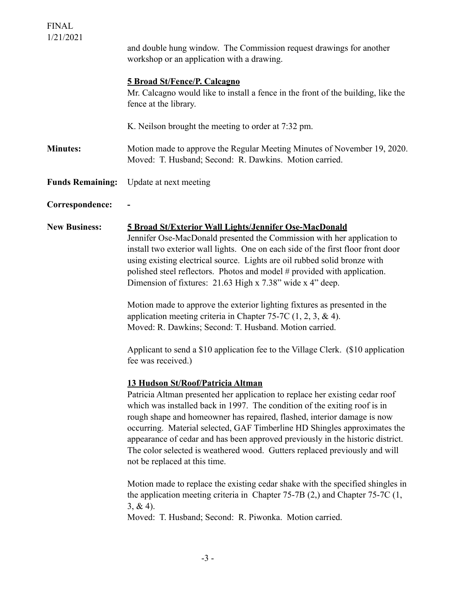| <b>FINAL</b><br>1/21/2021 | and double hung window. The Commission request drawings for another                                                                                                                                                                                                                                                                                                                                                                                                                                                                                                                                                                                                                                                                                                                                     |
|---------------------------|---------------------------------------------------------------------------------------------------------------------------------------------------------------------------------------------------------------------------------------------------------------------------------------------------------------------------------------------------------------------------------------------------------------------------------------------------------------------------------------------------------------------------------------------------------------------------------------------------------------------------------------------------------------------------------------------------------------------------------------------------------------------------------------------------------|
|                           | workshop or an application with a drawing.                                                                                                                                                                                                                                                                                                                                                                                                                                                                                                                                                                                                                                                                                                                                                              |
|                           | <b>5 Broad St/Fence/P. Calcagno</b><br>Mr. Calcagno would like to install a fence in the front of the building, like the<br>fence at the library.                                                                                                                                                                                                                                                                                                                                                                                                                                                                                                                                                                                                                                                       |
|                           | K. Neilson brought the meeting to order at 7:32 pm.                                                                                                                                                                                                                                                                                                                                                                                                                                                                                                                                                                                                                                                                                                                                                     |
| <b>Minutes:</b>           | Motion made to approve the Regular Meeting Minutes of November 19, 2020.<br>Moved: T. Husband; Second: R. Dawkins. Motion carried.                                                                                                                                                                                                                                                                                                                                                                                                                                                                                                                                                                                                                                                                      |
| <b>Funds Remaining:</b>   | Update at next meeting                                                                                                                                                                                                                                                                                                                                                                                                                                                                                                                                                                                                                                                                                                                                                                                  |
| Correspondence:           |                                                                                                                                                                                                                                                                                                                                                                                                                                                                                                                                                                                                                                                                                                                                                                                                         |
| <b>New Business:</b>      | 5 Broad St/Exterior Wall Lights/Jennifer Ose-MacDonald<br>Jennifer Ose-MacDonald presented the Commission with her application to<br>install two exterior wall lights. One on each side of the first floor front door<br>using existing electrical source. Lights are oil rubbed solid bronze with<br>polished steel reflectors. Photos and model # provided with application.<br>Dimension of fixtures: 21.63 High x 7.38" wide x 4" deep.<br>Motion made to approve the exterior lighting fixtures as presented in the<br>application meeting criteria in Chapter 75-7C $(1, 2, 3, \& 4)$ .<br>Moved: R. Dawkins; Second: T. Husband. Motion carried.<br>Applicant to send a \$10 application fee to the Village Clerk. (\$10 application<br>fee was received.)                                       |
|                           | 13 Hudson St/Roof/Patricia Altman<br>Patricia Altman presented her application to replace her existing cedar roof<br>which was installed back in 1997. The condition of the exiting roof is in<br>rough shape and homeowner has repaired, flashed, interior damage is now<br>occurring. Material selected, GAF Timberline HD Shingles approximates the<br>appearance of cedar and has been approved previously in the historic district.<br>The color selected is weathered wood. Gutters replaced previously and will<br>not be replaced at this time.<br>Motion made to replace the existing cedar shake with the specified shingles in<br>the application meeting criteria in Chapter $75-7B(2)$ , and Chapter $75-7C(1)$ ,<br>$3, & 4$ ).<br>Moved: T. Husband; Second: R. Piwonka. Motion carried. |
|                           |                                                                                                                                                                                                                                                                                                                                                                                                                                                                                                                                                                                                                                                                                                                                                                                                         |